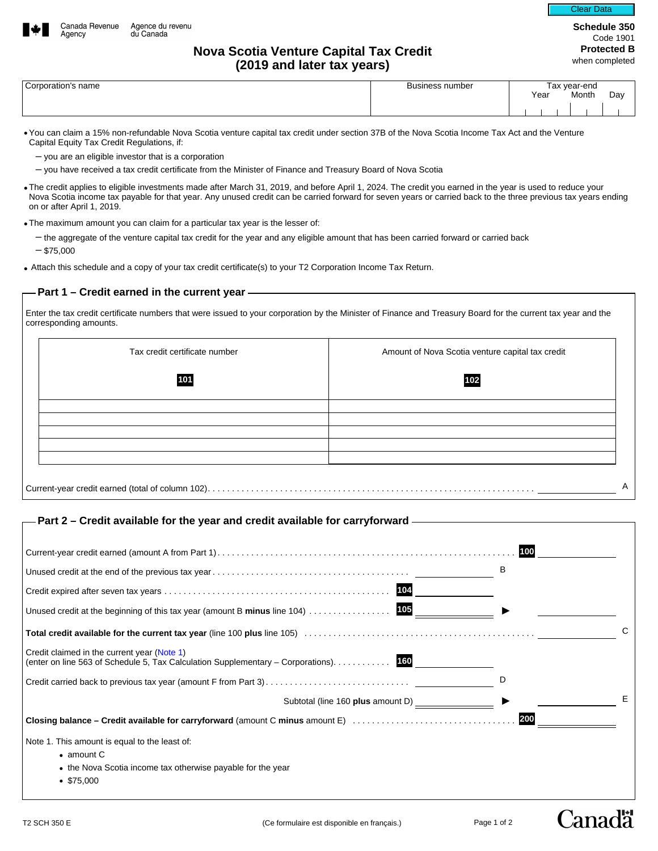

**Schedule 350**  Code 1901 **Protected B**  Clear Data

## **Nova Scotia Venture Capital Tax Credit Nova Scotia Venture Capital Tax Credit Nova Scotia Protected B (2019 and later tax years)**

| Corporation's name |  |
|--------------------|--|
|                    |  |

Agency

| Corporation's name | Business number | ∶vear-end<br>$\sim$<br>a |      |  |       |     |  |
|--------------------|-----------------|--------------------------|------|--|-------|-----|--|
|                    |                 |                          | Year |  | Month | Day |  |
|                    |                 |                          |      |  |       |     |  |
|                    |                 |                          |      |  |       |     |  |
|                    |                 |                          |      |  |       |     |  |

•You can claim a 15% non-refundable Nova Scotia venture capital tax credit under section 37B of the Nova Scotia Income Tax Act and the Venture Capital Equity Tax Credit Regulations, if:

- you are an eligible investor that is a corporation
- you have received a tax credit certificate from the Minister of Finance and Treasury Board of Nova Scotia
- The credit applies to eligible investments made after March 31, 2019, and before April 1, 2024. The credit you earned in the year is used to reduce your Nova Scotia income tax payable for that year. Any unused credit can be carried forward for seven years or carried back to the three previous tax years ending on or after April 1, 2019.
- The maximum amount you can claim for a particular tax year is the lesser of:
	- the aggregate of the venture capital tax credit for the year and any eligible amount that has been carried forward or carried back  $-$ \$75,000
- Attach this schedule and a copy of your tax credit certificate(s) to your T2 Corporation Income Tax Return.

### **Part 1 – Credit earned in the current year**

Enter the tax credit certificate numbers that were issued to your corporation by the Minister of Finance and Treasury Board for the current tax year and the corresponding amounts.

| Tax credit certificate number | Amount of Nova Scotia venture capital tax credit |
|-------------------------------|--------------------------------------------------|
| 101                           | 102                                              |
|                               |                                                  |
|                               |                                                  |
|                               |                                                  |
|                               |                                                  |

# **Part 2 – Credit available for the year and credit available for carryforward**

|                                                                                                                                     | 100 |
|-------------------------------------------------------------------------------------------------------------------------------------|-----|
|                                                                                                                                     | B   |
| 104                                                                                                                                 |     |
| 105<br>Unused credit at the beginning of this tax year (amount B minus line $104)$                                                  |     |
|                                                                                                                                     | C   |
| Credit claimed in the current year (Note 1)<br>(enter on line 563 of Schedule 5, Tax Calculation Supplementary – Corporations). 160 |     |
|                                                                                                                                     | D   |
| Subtotal (line 160 plus amount D) ________________                                                                                  | Е   |
| Closing balance – Credit available for carryforward (amount C minus amount E)                                                       | 200 |
| Note 1. This amount is equal to the least of:                                                                                       |     |
| $\bullet$ amount C                                                                                                                  |     |
| • the Nova Scotia income tax otherwise payable for the year                                                                         |     |
| \$75,000                                                                                                                            |     |
|                                                                                                                                     |     |

Canadä